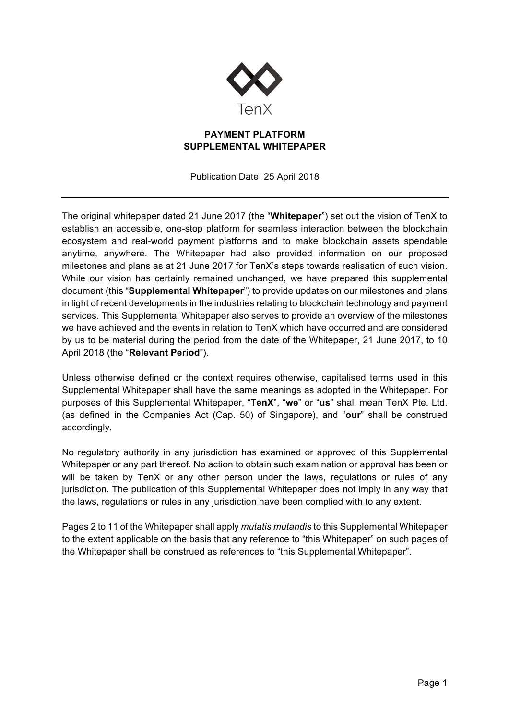

## **PAYMENT PLATFORM SUPPLEMENTAL WHITEPAPER**

Publication Date: 25 April 2018

The original whitepaper dated 21 June 2017 (the "**Whitepaper**") set out the vision of TenX to establish an accessible, one-stop platform for seamless interaction between the blockchain ecosystem and real-world payment platforms and to make blockchain assets spendable anytime, anywhere. The Whitepaper had also provided information on our proposed milestones and plans as at 21 June 2017 for TenX's steps towards realisation of such vision. While our vision has certainly remained unchanged, we have prepared this supplemental document (this "**Supplemental Whitepaper**") to provide updates on our milestones and plans in light of recent developments in the industries relating to blockchain technology and payment services. This Supplemental Whitepaper also serves to provide an overview of the milestones we have achieved and the events in relation to TenX which have occurred and are considered by us to be material during the period from the date of the Whitepaper, 21 June 2017, to 10 April 2018 (the "**Relevant Period**").

Unless otherwise defined or the context requires otherwise, capitalised terms used in this Supplemental Whitepaper shall have the same meanings as adopted in the Whitepaper. For purposes of this Supplemental Whitepaper, "**TenX**", "**we**" or "**us**" shall mean TenX Pte. Ltd. (as defined in the Companies Act (Cap. 50) of Singapore), and "**our**" shall be construed accordingly.

No regulatory authority in any jurisdiction has examined or approved of this Supplemental Whitepaper or any part thereof. No action to obtain such examination or approval has been or will be taken by TenX or any other person under the laws, regulations or rules of any jurisdiction. The publication of this Supplemental Whitepaper does not imply in any way that the laws, regulations or rules in any jurisdiction have been complied with to any extent.

Pages 2 to 11 of the Whitepaper shall apply *mutatis mutandis* to this Supplemental Whitepaper to the extent applicable on the basis that any reference to "this Whitepaper" on such pages of the Whitepaper shall be construed as references to "this Supplemental Whitepaper".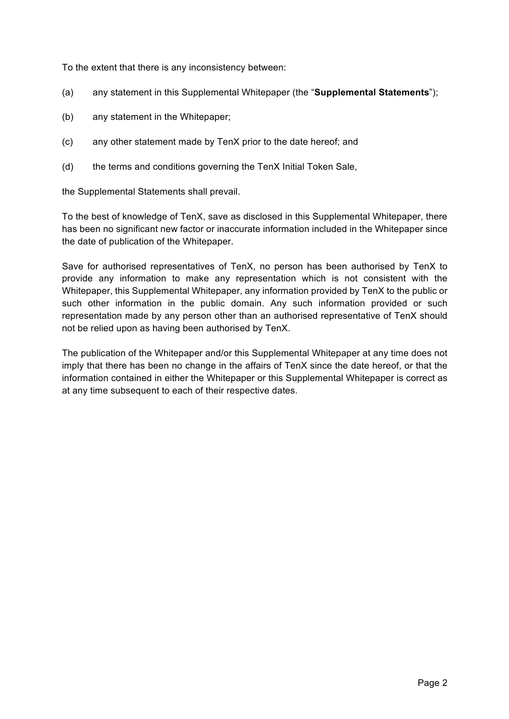To the extent that there is any inconsistency between:

- (a) any statement in this Supplemental Whitepaper (the "**Supplemental Statements**");
- (b) any statement in the Whitepaper;
- (c) any other statement made by TenX prior to the date hereof; and
- (d) the terms and conditions governing the TenX Initial Token Sale,

the Supplemental Statements shall prevail.

To the best of knowledge of TenX, save as disclosed in this Supplemental Whitepaper, there has been no significant new factor or inaccurate information included in the Whitepaper since the date of publication of the Whitepaper.

Save for authorised representatives of TenX, no person has been authorised by TenX to provide any information to make any representation which is not consistent with the Whitepaper, this Supplemental Whitepaper, any information provided by TenX to the public or such other information in the public domain. Any such information provided or such representation made by any person other than an authorised representative of TenX should not be relied upon as having been authorised by TenX.

The publication of the Whitepaper and/or this Supplemental Whitepaper at any time does not imply that there has been no change in the affairs of TenX since the date hereof, or that the information contained in either the Whitepaper or this Supplemental Whitepaper is correct as at any time subsequent to each of their respective dates.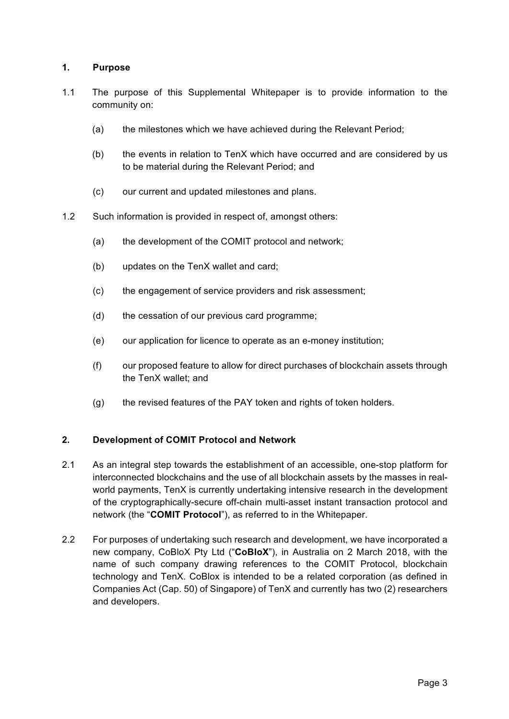## **1. Purpose**

- 1.1 The purpose of this Supplemental Whitepaper is to provide information to the community on:
	- (a) the milestones which we have achieved during the Relevant Period;
	- (b) the events in relation to TenX which have occurred and are considered by us to be material during the Relevant Period; and
	- (c) our current and updated milestones and plans.
- 1.2 Such information is provided in respect of, amongst others:
	- (a) the development of the COMIT protocol and network;
	- (b) updates on the TenX wallet and card;
	- (c) the engagement of service providers and risk assessment;
	- (d) the cessation of our previous card programme;
	- (e) our application for licence to operate as an e-money institution;
	- (f) our proposed feature to allow for direct purchases of blockchain assets through the TenX wallet; and
	- (g) the revised features of the PAY token and rights of token holders.

# **2. Development of COMIT Protocol and Network**

- 2.1 As an integral step towards the establishment of an accessible, one-stop platform for interconnected blockchains and the use of all blockchain assets by the masses in realworld payments, TenX is currently undertaking intensive research in the development of the cryptographically-secure off-chain multi-asset instant transaction protocol and network (the "**COMIT Protocol**"), as referred to in the Whitepaper.
- 2.2 For purposes of undertaking such research and development, we have incorporated a new company, CoBloX Pty Ltd ("**CoBloX**"), in Australia on 2 March 2018, with the name of such company drawing references to the COMIT Protocol, blockchain technology and TenX. CoBlox is intended to be a related corporation (as defined in Companies Act (Cap. 50) of Singapore) of TenX and currently has two (2) researchers and developers.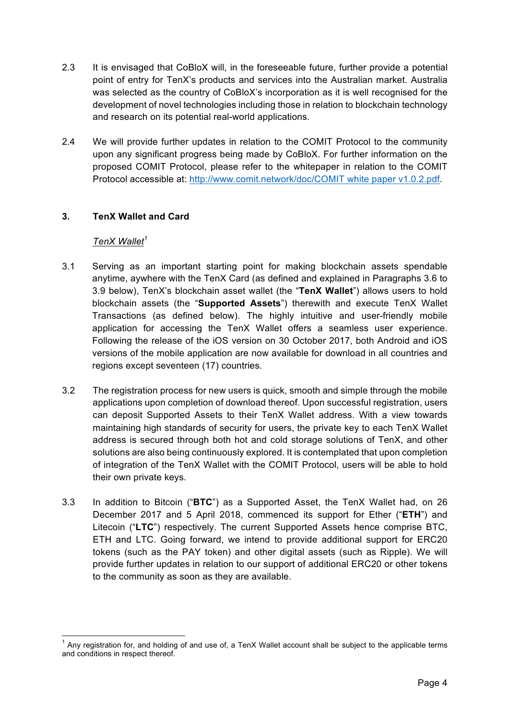- 2.3 It is envisaged that CoBloX will, in the foreseeable future, further provide a potential point of entry for TenX's products and services into the Australian market. Australia was selected as the country of CoBloX's incorporation as it is well recognised for the development of novel technologies including those in relation to blockchain technology and research on its potential real-world applications.
- 2.4 We will provide further updates in relation to the COMIT Protocol to the community upon any significant progress being made by CoBloX. For further information on the proposed COMIT Protocol, please refer to the whitepaper in relation to the COMIT Protocol accessible at: http://www.comit.network/doc/COMIT white paper v1.0.2.pdf.

# **3. TenX Wallet and Card**

## *TenX Wallet<sup>1</sup>*

- 3.1 Serving as an important starting point for making blockchain assets spendable anytime, aywhere with the TenX Card (as defined and explained in Paragraphs 3.6 to 3.9 below), TenX's blockchain asset wallet (the "**TenX Wallet**") allows users to hold blockchain assets (the "**Supported Assets**") therewith and execute TenX Wallet Transactions (as defined below). The highly intuitive and user-friendly mobile application for accessing the TenX Wallet offers a seamless user experience. Following the release of the iOS version on 30 October 2017, both Android and iOS versions of the mobile application are now available for download in all countries and regions except seventeen (17) countries.
- 3.2 The registration process for new users is quick, smooth and simple through the mobile applications upon completion of download thereof. Upon successful registration, users can deposit Supported Assets to their TenX Wallet address. With a view towards maintaining high standards of security for users, the private key to each TenX Wallet address is secured through both hot and cold storage solutions of TenX, and other solutions are also being continuously explored. It is contemplated that upon completion of integration of the TenX Wallet with the COMIT Protocol, users will be able to hold their own private keys.
- 3.3 In addition to Bitcoin ("**BTC**") as a Supported Asset, the TenX Wallet had, on 26 December 2017 and 5 April 2018, commenced its support for Ether ("**ETH**") and Litecoin ("**LTC**") respectively. The current Supported Assets hence comprise BTC, ETH and LTC. Going forward, we intend to provide additional support for ERC20 tokens (such as the PAY token) and other digital assets (such as Ripple). We will provide further updates in relation to our support of additional ERC20 or other tokens to the community as soon as they are available.

 $1$  Any registration for, and holding of and use of, a TenX Wallet account shall be subiect to the applicable terms and conditions in respect thereof.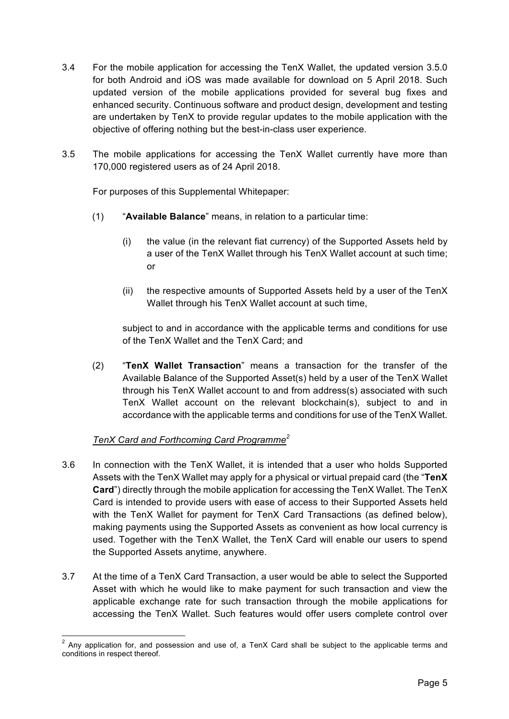- 3.4 For the mobile application for accessing the TenX Wallet, the updated version 3.5.0 for both Android and iOS was made available for download on 5 April 2018. Such updated version of the mobile applications provided for several bug fixes and enhanced security. Continuous software and product design, development and testing are undertaken by TenX to provide regular updates to the mobile application with the objective of offering nothing but the best-in-class user experience.
- 3.5 The mobile applications for accessing the TenX Wallet currently have more than 170,000 registered users as of 24 April 2018.

For purposes of this Supplemental Whitepaper:

- (1) "**Available Balance**" means, in relation to a particular time:
	- (i) the value (in the relevant fiat currency) of the Supported Assets held by a user of the TenX Wallet through his TenX Wallet account at such time; or
	- (ii) the respective amounts of Supported Assets held by a user of the TenX Wallet through his TenX Wallet account at such time,

subject to and in accordance with the applicable terms and conditions for use of the TenX Wallet and the TenX Card; and

(2) "**TenX Wallet Transaction**" means a transaction for the transfer of the Available Balance of the Supported Asset(s) held by a user of the TenX Wallet through his TenX Wallet account to and from address(s) associated with such TenX Wallet account on the relevant blockchain(s), subject to and in accordance with the applicable terms and conditions for use of the TenX Wallet.

# *TenX Card and Forthcoming Card Programme<sup>2</sup>*

- 3.6 In connection with the TenX Wallet, it is intended that a user who holds Supported Assets with the TenX Wallet may apply for a physical or virtual prepaid card (the "**TenX Card**") directly through the mobile application for accessing the TenX Wallet. The TenX Card is intended to provide users with ease of access to their Supported Assets held with the TenX Wallet for payment for TenX Card Transactions (as defined below), making payments using the Supported Assets as convenient as how local currency is used. Together with the TenX Wallet, the TenX Card will enable our users to spend the Supported Assets anytime, anywhere.
- 3.7 At the time of a TenX Card Transaction, a user would be able to select the Supported Asset with which he would like to make payment for such transaction and view the applicable exchange rate for such transaction through the mobile applications for accessing the TenX Wallet. Such features would offer users complete control over

 $2$  Anv application for, and possession and use of, a TenX Card shall be subject to the applicable terms and conditions in respect thereof.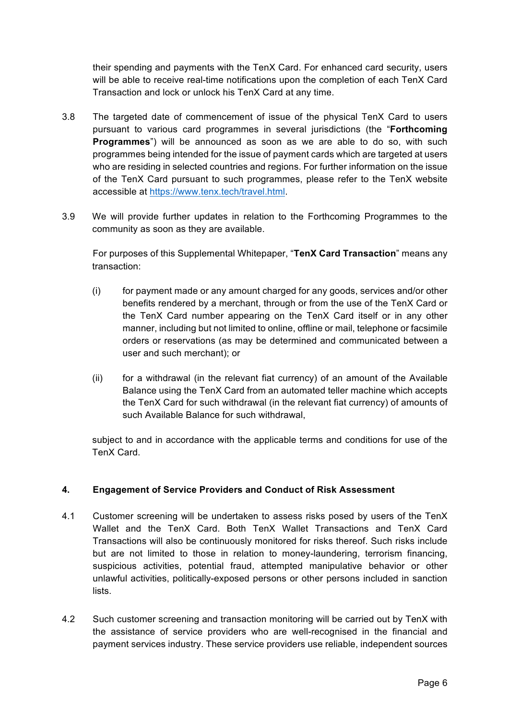their spending and payments with the TenX Card. For enhanced card security, users will be able to receive real-time notifications upon the completion of each TenX Card Transaction and lock or unlock his TenX Card at any time.

- 3.8 The targeted date of commencement of issue of the physical TenX Card to users pursuant to various card programmes in several jurisdictions (the "**Forthcoming Programmes**") will be announced as soon as we are able to do so, with such programmes being intended for the issue of payment cards which are targeted at users who are residing in selected countries and regions. For further information on the issue of the TenX Card pursuant to such programmes, please refer to the TenX website accessible at https://www.tenx.tech/travel.html.
- 3.9 We will provide further updates in relation to the Forthcoming Programmes to the community as soon as they are available.

For purposes of this Supplemental Whitepaper, "**TenX Card Transaction**" means any transaction:

- (i) for payment made or any amount charged for any goods, services and/or other benefits rendered by a merchant, through or from the use of the TenX Card or the TenX Card number appearing on the TenX Card itself or in any other manner, including but not limited to online, offline or mail, telephone or facsimile orders or reservations (as may be determined and communicated between a user and such merchant); or
- (ii) for a withdrawal (in the relevant fiat currency) of an amount of the Available Balance using the TenX Card from an automated teller machine which accepts the TenX Card for such withdrawal (in the relevant fiat currency) of amounts of such Available Balance for such withdrawal,

subject to and in accordance with the applicable terms and conditions for use of the TenX Card.

# **4. Engagement of Service Providers and Conduct of Risk Assessment**

- 4.1 Customer screening will be undertaken to assess risks posed by users of the TenX Wallet and the TenX Card. Both TenX Wallet Transactions and TenX Card Transactions will also be continuously monitored for risks thereof. Such risks include but are not limited to those in relation to money-laundering, terrorism financing, suspicious activities, potential fraud, attempted manipulative behavior or other unlawful activities, politically-exposed persons or other persons included in sanction lists.
- 4.2 Such customer screening and transaction monitoring will be carried out by TenX with the assistance of service providers who are well-recognised in the financial and payment services industry. These service providers use reliable, independent sources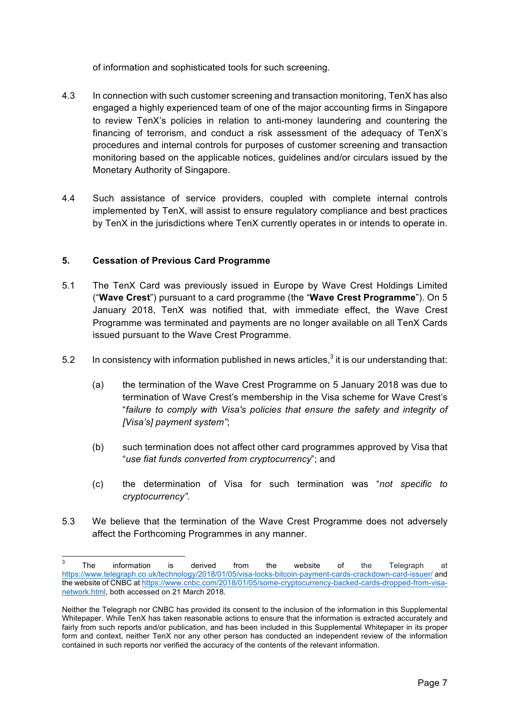of information and sophisticated tools for such screening.

- 4.3 In connection with such customer screening and transaction monitoring, TenX has also engaged a highly experienced team of one of the major accounting firms in Singapore to review TenX's policies in relation to anti-money laundering and countering the financing of terrorism, and conduct a risk assessment of the adequacy of TenX's procedures and internal controls for purposes of customer screening and transaction monitoring based on the applicable notices, guidelines and/or circulars issued by the Monetary Authority of Singapore.
- 4.4 Such assistance of service providers, coupled with complete internal controls implemented by TenX, will assist to ensure regulatory compliance and best practices by TenX in the jurisdictions where TenX currently operates in or intends to operate in.

## **5. Cessation of Previous Card Programme**

- 5.1 The TenX Card was previously issued in Europe by Wave Crest Holdings Limited ("**Wave Crest**") pursuant to a card programme (the "**Wave Crest Programme**"). On 5 January 2018, TenX was notified that, with immediate effect, the Wave Crest Programme was terminated and payments are no longer available on all TenX Cards issued pursuant to the Wave Crest Programme.
- 5.2 In consistency with information published in news articles, $3$  it is our understanding that:
	- (a) the termination of the Wave Crest Programme on 5 January 2018 was due to termination of Wave Crest's membership in the Visa scheme for Wave Crest's "*failure to comply with Visa's policies that ensure the safety and integrity of [Visa's] payment system"*;
	- (b) such termination does not affect other card programmes approved by Visa that "*use fiat funds converted from cryptocurrency*"; and
	- (c) the determination of Visa for such termination was "*not specific to cryptocurrency".*
- 5.3 We believe that the termination of the Wave Crest Programme does not adversely affect the Forthcoming Programmes in any manner.

The information is derived from the website of the Telegraph at https://www.telegraph.co.uk/technology/2018/01/05/visa-locks-bitcoin-payment-cards-crackdown-card-issuer/ and the website of CNBC at https://www.cnbc.com/2018/01/05/some-cryptocurrency-backed-cards-dropped-from-visanetwork.html, both accessed on 21 March 2018.

Neither the Telegraph nor CNBC has provided its consent to the inclusion of the information in this Supplemental Whitepaper. While TenX has taken reasonable actions to ensure that the information is extracted accurately and fairly from such reports and/or publication, and has been included in this Supplemental Whitepaper in its proper form and context, neither TenX nor any other person has conducted an independent review of the information contained in such reports nor verified the accuracy of the contents of the relevant information.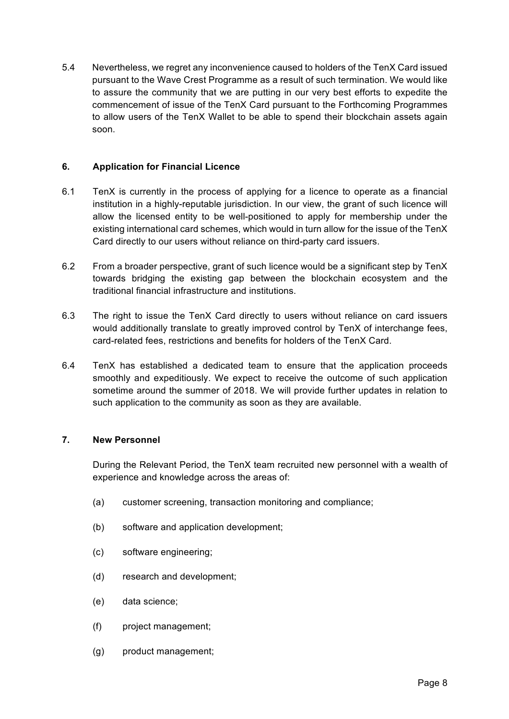5.4 Nevertheless, we regret any inconvenience caused to holders of the TenX Card issued pursuant to the Wave Crest Programme as a result of such termination. We would like to assure the community that we are putting in our very best efforts to expedite the commencement of issue of the TenX Card pursuant to the Forthcoming Programmes to allow users of the TenX Wallet to be able to spend their blockchain assets again soon.

## **6. Application for Financial Licence**

- 6.1 TenX is currently in the process of applying for a licence to operate as a financial institution in a highly-reputable jurisdiction. In our view, the grant of such licence will allow the licensed entity to be well-positioned to apply for membership under the existing international card schemes, which would in turn allow for the issue of the TenX Card directly to our users without reliance on third-party card issuers.
- 6.2 From a broader perspective, grant of such licence would be a significant step by TenX towards bridging the existing gap between the blockchain ecosystem and the traditional financial infrastructure and institutions.
- 6.3 The right to issue the TenX Card directly to users without reliance on card issuers would additionally translate to greatly improved control by TenX of interchange fees, card-related fees, restrictions and benefits for holders of the TenX Card.
- 6.4 TenX has established a dedicated team to ensure that the application proceeds smoothly and expeditiously. We expect to receive the outcome of such application sometime around the summer of 2018. We will provide further updates in relation to such application to the community as soon as they are available.

## **7. New Personnel**

During the Relevant Period, the TenX team recruited new personnel with a wealth of experience and knowledge across the areas of:

- (a) customer screening, transaction monitoring and compliance;
- (b) software and application development;
- (c) software engineering;
- (d) research and development;
- (e) data science;
- (f) project management;
- (g) product management;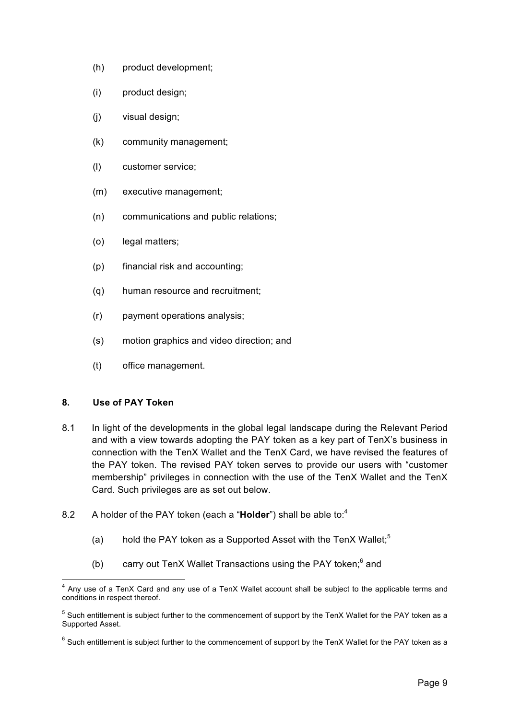- (h) product development;
- (i) product design;
- (j) visual design;
- (k) community management;
- (l) customer service;
- (m) executive management;
- (n) communications and public relations;
- (o) legal matters;
- (p) financial risk and accounting;
- (q) human resource and recruitment;
- (r) payment operations analysis;
- (s) motion graphics and video direction; and
- (t) office management.

## **8. Use of PAY Token**

- 8.1 In light of the developments in the global legal landscape during the Relevant Period and with a view towards adopting the PAY token as a key part of TenX's business in connection with the TenX Wallet and the TenX Card, we have revised the features of the PAY token. The revised PAY token serves to provide our users with "customer membership" privileges in connection with the use of the TenX Wallet and the TenX Card. Such privileges are as set out below.
- 8.2 A holder of the PAY token (each a "**Holder**") shall be able to:<sup>4</sup>
	- (a) hold the PAY token as a Supported Asset with the TenX Wallet; $5$
	- (b) carry out TenX Wallet Transactions using the PAY token; $<sup>6</sup>$  and</sup>

<sup>&</sup>lt;sup>4</sup> Any use of a TenX Card and any use of a TenX Wallet account shall be subject to the applicable terms and conditions in respect thereof.

<sup>&</sup>lt;sup>5</sup> Such entitlement is subject further to the commencement of support by the TenX Wallet for the PAY token as a Supported Asset.

 $6$  Such entitlement is subject further to the commencement of support by the TenX Wallet for the PAY token as a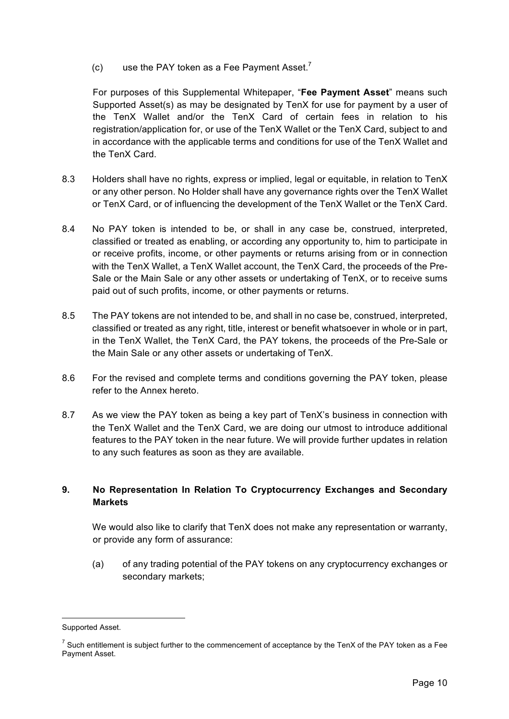$(c)$  use the PAY token as a Fee Payment Asset.<sup>7</sup>

For purposes of this Supplemental Whitepaper, "**Fee Payment Asset**" means such Supported Asset(s) as may be designated by TenX for use for payment by a user of the TenX Wallet and/or the TenX Card of certain fees in relation to his registration/application for, or use of the TenX Wallet or the TenX Card, subject to and in accordance with the applicable terms and conditions for use of the TenX Wallet and the TenX Card.

- 8.3 Holders shall have no rights, express or implied, legal or equitable, in relation to TenX or any other person. No Holder shall have any governance rights over the TenX Wallet or TenX Card, or of influencing the development of the TenX Wallet or the TenX Card.
- 8.4 No PAY token is intended to be, or shall in any case be, construed, interpreted, classified or treated as enabling, or according any opportunity to, him to participate in or receive profits, income, or other payments or returns arising from or in connection with the TenX Wallet, a TenX Wallet account, the TenX Card, the proceeds of the Pre-Sale or the Main Sale or any other assets or undertaking of TenX, or to receive sums paid out of such profits, income, or other payments or returns.
- 8.5 The PAY tokens are not intended to be, and shall in no case be, construed, interpreted, classified or treated as any right, title, interest or benefit whatsoever in whole or in part, in the TenX Wallet, the TenX Card, the PAY tokens, the proceeds of the Pre-Sale or the Main Sale or any other assets or undertaking of TenX.
- 8.6 For the revised and complete terms and conditions governing the PAY token, please refer to the Annex hereto.
- 8.7 As we view the PAY token as being a key part of TenX's business in connection with the TenX Wallet and the TenX Card, we are doing our utmost to introduce additional features to the PAY token in the near future. We will provide further updates in relation to any such features as soon as they are available.

# **9. No Representation In Relation To Cryptocurrency Exchanges and Secondary Markets**

We would also like to clarify that TenX does not make any representation or warranty, or provide any form of assurance:

(a) of any trading potential of the PAY tokens on any cryptocurrency exchanges or secondary markets;

 $\overline{a}$ 

Supported Asset.

 $7$  Such entitlement is subject further to the commencement of acceptance by the TenX of the PAY token as a Fee Payment Asset.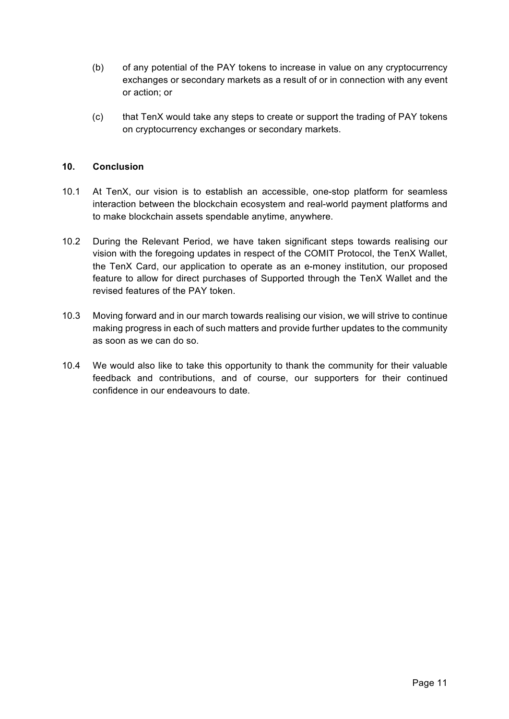- (b) of any potential of the PAY tokens to increase in value on any cryptocurrency exchanges or secondary markets as a result of or in connection with any event or action; or
- (c) that TenX would take any steps to create or support the trading of PAY tokens on cryptocurrency exchanges or secondary markets.

## **10. Conclusion**

- 10.1 At TenX, our vision is to establish an accessible, one-stop platform for seamless interaction between the blockchain ecosystem and real-world payment platforms and to make blockchain assets spendable anytime, anywhere.
- 10.2 During the Relevant Period, we have taken significant steps towards realising our vision with the foregoing updates in respect of the COMIT Protocol, the TenX Wallet, the TenX Card, our application to operate as an e-money institution, our proposed feature to allow for direct purchases of Supported through the TenX Wallet and the revised features of the PAY token.
- 10.3 Moving forward and in our march towards realising our vision, we will strive to continue making progress in each of such matters and provide further updates to the community as soon as we can do so.
- 10.4 We would also like to take this opportunity to thank the community for their valuable feedback and contributions, and of course, our supporters for their continued confidence in our endeavours to date.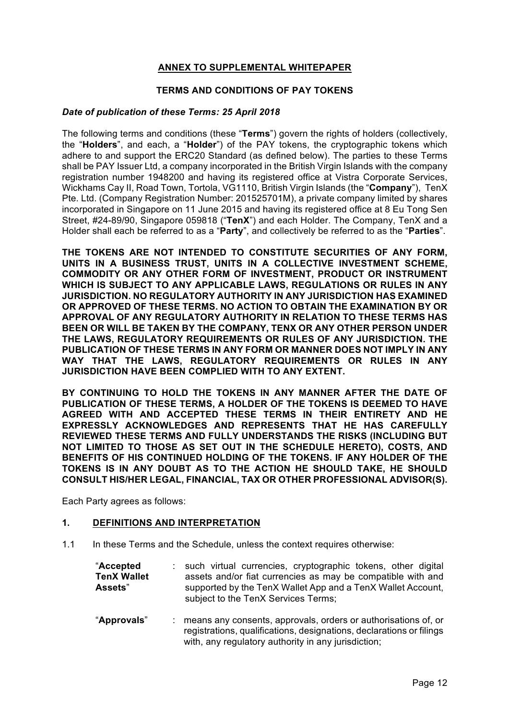## **ANNEX TO SUPPLEMENTAL WHITEPAPER**

## **TERMS AND CONDITIONS OF PAY TOKENS**

#### *Date of publication of these Terms: 25 April 2018*

The following terms and conditions (these "**Terms**") govern the rights of holders (collectively, the "**Holders**", and each, a "**Holder**") of the PAY tokens, the cryptographic tokens which adhere to and support the ERC20 Standard (as defined below). The parties to these Terms shall be PAY Issuer Ltd, a company incorporated in the British Virgin Islands with the company registration number 1948200 and having its registered office at Vistra Corporate Services, Wickhams Cay II, Road Town, Tortola, VG1110, British Virgin Islands (the "**Company**"), TenX Pte. Ltd. (Company Registration Number: 201525701M), a private company limited by shares incorporated in Singapore on 11 June 2015 and having its registered office at 8 Eu Tong Sen Street, #24-89/90, Singapore 059818 ("**TenX**") and each Holder. The Company, TenX and a Holder shall each be referred to as a "**Party**", and collectively be referred to as the "**Parties**".

**THE TOKENS ARE NOT INTENDED TO CONSTITUTE SECURITIES OF ANY FORM, UNITS IN A BUSINESS TRUST, UNITS IN A COLLECTIVE INVESTMENT SCHEME, COMMODITY OR ANY OTHER FORM OF INVESTMENT, PRODUCT OR INSTRUMENT WHICH IS SUBJECT TO ANY APPLICABLE LAWS, REGULATIONS OR RULES IN ANY JURISDICTION. NO REGULATORY AUTHORITY IN ANY JURISDICTION HAS EXAMINED OR APPROVED OF THESE TERMS. NO ACTION TO OBTAIN THE EXAMINATION BY OR APPROVAL OF ANY REGULATORY AUTHORITY IN RELATION TO THESE TERMS HAS BEEN OR WILL BE TAKEN BY THE COMPANY, TENX OR ANY OTHER PERSON UNDER THE LAWS, REGULATORY REQUIREMENTS OR RULES OF ANY JURISDICTION. THE PUBLICATION OF THESE TERMS IN ANY FORM OR MANNER DOES NOT IMPLY IN ANY WAY THAT THE LAWS, REGULATORY REQUIREMENTS OR RULES IN ANY JURISDICTION HAVE BEEN COMPLIED WITH TO ANY EXTENT.** 

**BY CONTINUING TO HOLD THE TOKENS IN ANY MANNER AFTER THE DATE OF PUBLICATION OF THESE TERMS, A HOLDER OF THE TOKENS IS DEEMED TO HAVE AGREED WITH AND ACCEPTED THESE TERMS IN THEIR ENTIRETY AND HE EXPRESSLY ACKNOWLEDGES AND REPRESENTS THAT HE HAS CAREFULLY REVIEWED THESE TERMS AND FULLY UNDERSTANDS THE RISKS (INCLUDING BUT NOT LIMITED TO THOSE AS SET OUT IN THE SCHEDULE HERETO), COSTS, AND BENEFITS OF HIS CONTINUED HOLDING OF THE TOKENS. IF ANY HOLDER OF THE TOKENS IS IN ANY DOUBT AS TO THE ACTION HE SHOULD TAKE, HE SHOULD CONSULT HIS/HER LEGAL, FINANCIAL, TAX OR OTHER PROFESSIONAL ADVISOR(S).** 

Each Party agrees as follows:

#### **1. DEFINITIONS AND INTERPRETATION**

1.1 In these Terms and the Schedule, unless the context requires otherwise:

| "Accepted          | : such virtual currencies, cryptographic tokens, other digital                                     |
|--------------------|----------------------------------------------------------------------------------------------------|
| <b>TenX Wallet</b> | assets and/or fiat currencies as may be compatible with and                                        |
| <b>Assets</b> "    | supported by the TenX Wallet App and a TenX Wallet Account,<br>subject to the TenX Services Terms; |

"**Approvals**" : means any consents, approvals, orders or authorisations of, or registrations, qualifications, designations, declarations or filings with, any regulatory authority in any jurisdiction;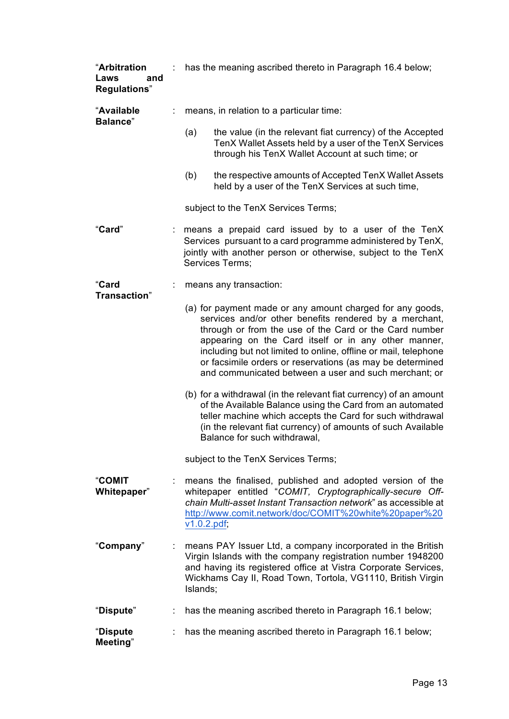| "Arbitration<br>Laws<br>and<br><b>Regulations</b> " |    | has the meaning ascribed thereto in Paragraph 16.4 below;                                                                                                                                                                                                               |                                                                                                                                                                                                                                                                                                                                                                                                                                |  |
|-----------------------------------------------------|----|-------------------------------------------------------------------------------------------------------------------------------------------------------------------------------------------------------------------------------------------------------------------------|--------------------------------------------------------------------------------------------------------------------------------------------------------------------------------------------------------------------------------------------------------------------------------------------------------------------------------------------------------------------------------------------------------------------------------|--|
| "Available<br><b>Balance</b> "                      |    | means, in relation to a particular time:                                                                                                                                                                                                                                |                                                                                                                                                                                                                                                                                                                                                                                                                                |  |
|                                                     |    | (a)                                                                                                                                                                                                                                                                     | the value (in the relevant fiat currency) of the Accepted<br>TenX Wallet Assets held by a user of the TenX Services<br>through his TenX Wallet Account at such time; or                                                                                                                                                                                                                                                        |  |
|                                                     |    | (b)                                                                                                                                                                                                                                                                     | the respective amounts of Accepted TenX Wallet Assets<br>held by a user of the TenX Services at such time,                                                                                                                                                                                                                                                                                                                     |  |
|                                                     |    |                                                                                                                                                                                                                                                                         | subject to the TenX Services Terms;                                                                                                                                                                                                                                                                                                                                                                                            |  |
| "Card"                                              |    | : means a prepaid card issued by to a user of the TenX<br>Services pursuant to a card programme administered by TenX,<br>jointly with another person or otherwise, subject to the TenX<br>Services Terms;                                                               |                                                                                                                                                                                                                                                                                                                                                                                                                                |  |
| "Card<br>Transaction"                               |    |                                                                                                                                                                                                                                                                         | means any transaction:                                                                                                                                                                                                                                                                                                                                                                                                         |  |
|                                                     |    |                                                                                                                                                                                                                                                                         | (a) for payment made or any amount charged for any goods,<br>services and/or other benefits rendered by a merchant,<br>through or from the use of the Card or the Card number<br>appearing on the Card itself or in any other manner,<br>including but not limited to online, offline or mail, telephone<br>or facsimile orders or reservations (as may be determined<br>and communicated between a user and such merchant; or |  |
|                                                     |    |                                                                                                                                                                                                                                                                         | (b) for a withdrawal (in the relevant fiat currency) of an amount<br>of the Available Balance using the Card from an automated<br>teller machine which accepts the Card for such withdrawal<br>(in the relevant fiat currency) of amounts of such Available<br>Balance for such withdrawal,                                                                                                                                    |  |
|                                                     |    |                                                                                                                                                                                                                                                                         | subject to the TenX Services Terms;                                                                                                                                                                                                                                                                                                                                                                                            |  |
| <b>"COMIT</b><br>Whitepaper"                        |    | v1.0.2.pdf                                                                                                                                                                                                                                                              | means the finalised, published and adopted version of the<br>whitepaper entitled "COMIT, Cryptographically-secure Off-<br>chain Multi-asset Instant Transaction network" as accessible at<br>http://www.comit.network/doc/COMIT%20white%20paper%20                                                                                                                                                                             |  |
| "Company"                                           |    | means PAY Issuer Ltd, a company incorporated in the British<br>Virgin Islands with the company registration number 1948200<br>and having its registered office at Vistra Corporate Services,<br>Wickhams Cay II, Road Town, Tortola, VG1110, British Virgin<br>Islands; |                                                                                                                                                                                                                                                                                                                                                                                                                                |  |
| "Dispute"                                           |    |                                                                                                                                                                                                                                                                         | has the meaning ascribed thereto in Paragraph 16.1 below;                                                                                                                                                                                                                                                                                                                                                                      |  |
| "Dispute<br>Meeting"                                | t. |                                                                                                                                                                                                                                                                         | has the meaning ascribed thereto in Paragraph 16.1 below;                                                                                                                                                                                                                                                                                                                                                                      |  |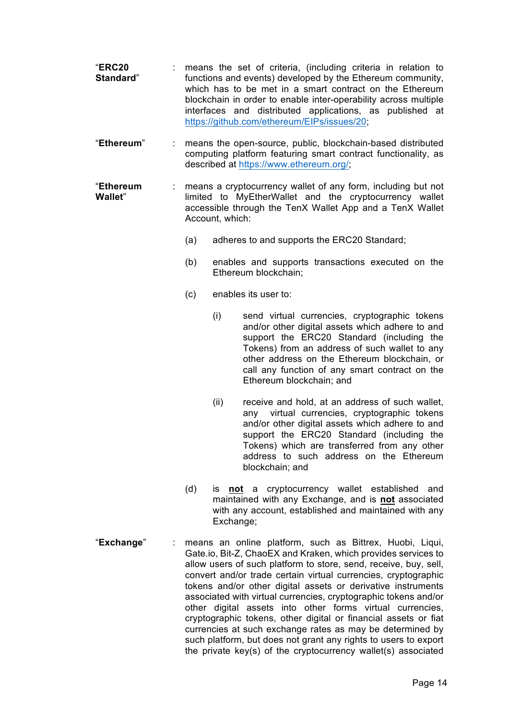- "**ERC20 Standard**" : means the set of criteria, (including criteria in relation to functions and events) developed by the Ethereum community, which has to be met in a smart contract on the Ethereum blockchain in order to enable inter-operability across multiple interfaces and distributed applications, as published at https://github.com/ethereum/EIPs/issues/20;
- "**Ethereum**" : means the open-source, public, blockchain-based distributed computing platform featuring smart contract functionality, as described at https://www.ethereum.org/;
- "**Ethereum Wallet**" : means a cryptocurrency wallet of any form, including but not limited to MyEtherWallet and the cryptocurrency wallet accessible through the TenX Wallet App and a TenX Wallet Account, which:
	- (a) adheres to and supports the ERC20 Standard;
	- (b) enables and supports transactions executed on the Ethereum blockchain;
	- (c) enables its user to:
		- (i) send virtual currencies, cryptographic tokens and/or other digital assets which adhere to and support the ERC20 Standard (including the Tokens) from an address of such wallet to any other address on the Ethereum blockchain, or call any function of any smart contract on the Ethereum blockchain; and
		- (ii) receive and hold, at an address of such wallet, any virtual currencies, cryptographic tokens and/or other digital assets which adhere to and support the ERC20 Standard (including the Tokens) which are transferred from any other address to such address on the Ethereum blockchain; and
	- (d) is **not** a cryptocurrency wallet established and maintained with any Exchange, and is **not** associated with any account, established and maintained with any Exchange;
- "**Exchange**" : means an online platform, such as Bittrex, Huobi, Liqui, Gate.io, Bit-Z, ChaoEX and Kraken, which provides services to allow users of such platform to store, send, receive, buy, sell, convert and/or trade certain virtual currencies, cryptographic tokens and/or other digital assets or derivative instruments associated with virtual currencies, cryptographic tokens and/or other digital assets into other forms virtual currencies, cryptographic tokens, other digital or financial assets or fiat currencies at such exchange rates as may be determined by such platform, but does not grant any rights to users to export the private key(s) of the cryptocurrency wallet(s) associated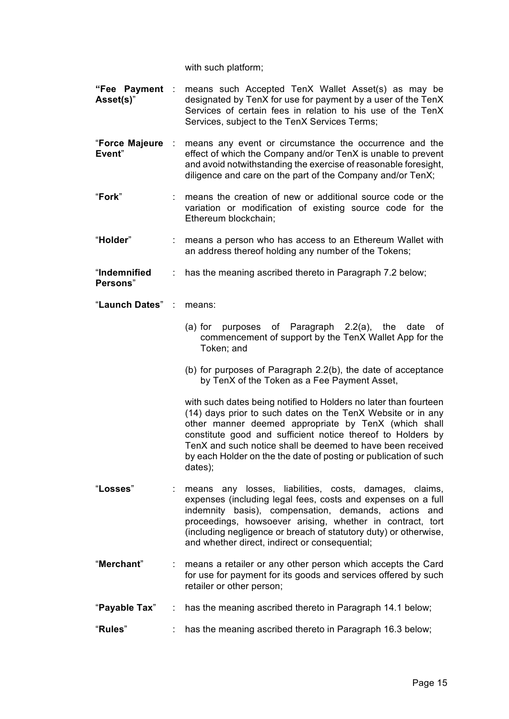with such platform:

- **"Fee Payment**  : means such Accepted TenX Wallet Asset(s) as may be **Asset(s)**" designated by TenX for use for payment by a user of the TenX Services of certain fees in relation to his use of the TenX Services, subject to the TenX Services Terms;
- "**Force Majeure Event**" means any event or circumstance the occurrence and the effect of which the Company and/or TenX is unable to prevent and avoid notwithstanding the exercise of reasonable foresight, diligence and care on the part of the Company and/or TenX;
- "**Fork**" : means the creation of new or additional source code or the variation or modification of existing source code for the Ethereum blockchain;
- "**Holder**" : means a person who has access to an Ethereum Wallet with an address thereof holding any number of the Tokens;
- "**Indemnified**  : has the meaning ascribed thereto in Paragraph 7.2 below;

**Persons**"

- "**Launch Dates**" : means:
	- (a) for purposes of Paragraph 2.2(a), the date of commencement of support by the TenX Wallet App for the Token; and
	- (b) for purposes of Paragraph 2.2(b), the date of acceptance by TenX of the Token as a Fee Payment Asset,

with such dates being notified to Holders no later than fourteen (14) days prior to such dates on the TenX Website or in any other manner deemed appropriate by TenX (which shall constitute good and sufficient notice thereof to Holders by TenX and such notice shall be deemed to have been received by each Holder on the the date of posting or publication of such dates);

- "**Losses**" : means any losses, liabilities, costs, damages, claims, expenses (including legal fees, costs and expenses on a full indemnity basis), compensation, demands, actions and proceedings, howsoever arising, whether in contract, tort (including negligence or breach of statutory duty) or otherwise, and whether direct, indirect or consequential;
- "**Merchant**" : means a retailer or any other person which accepts the Card for use for payment for its goods and services offered by such retailer or other person;
- "**Payable Tax**" : has the meaning ascribed thereto in Paragraph 14.1 below;
- "**Rules**" : has the meaning ascribed thereto in Paragraph 16.3 below;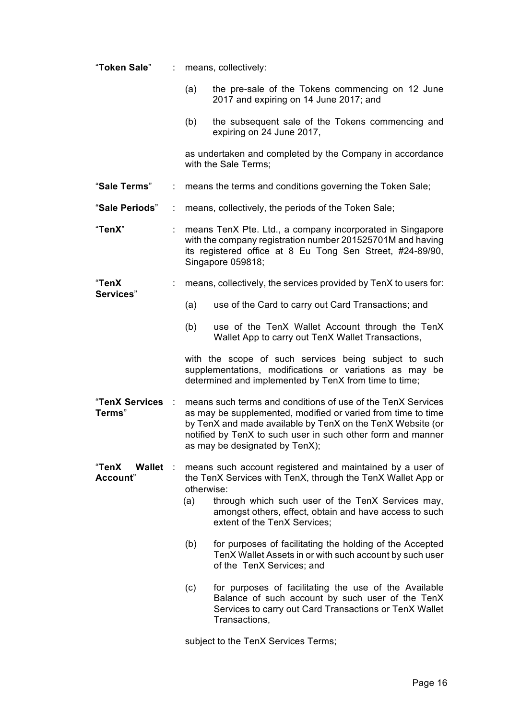| "Token Sale"                                      |   |                                                                                                                                                                                                                                                                                            | means, collectively:                                                                                                                                                                 |  |
|---------------------------------------------------|---|--------------------------------------------------------------------------------------------------------------------------------------------------------------------------------------------------------------------------------------------------------------------------------------------|--------------------------------------------------------------------------------------------------------------------------------------------------------------------------------------|--|
|                                                   |   | (a)                                                                                                                                                                                                                                                                                        | the pre-sale of the Tokens commencing on 12 June<br>2017 and expiring on 14 June 2017; and                                                                                           |  |
|                                                   |   | (b)                                                                                                                                                                                                                                                                                        | the subsequent sale of the Tokens commencing and<br>expiring on 24 June 2017,                                                                                                        |  |
|                                                   |   |                                                                                                                                                                                                                                                                                            | as undertaken and completed by the Company in accordance<br>with the Sale Terms;                                                                                                     |  |
| "Sale Terms"                                      |   | means the terms and conditions governing the Token Sale;                                                                                                                                                                                                                                   |                                                                                                                                                                                      |  |
| "Sale Periods"                                    |   | means, collectively, the periods of the Token Sale;                                                                                                                                                                                                                                        |                                                                                                                                                                                      |  |
| "TenX"                                            |   | means TenX Pte. Ltd., a company incorporated in Singapore<br>with the company registration number 201525701M and having<br>its registered office at 8 Eu Tong Sen Street, #24-89/90,<br>Singapore 059818;                                                                                  |                                                                                                                                                                                      |  |
| "TenX                                             |   |                                                                                                                                                                                                                                                                                            | means, collectively, the services provided by TenX to users for:                                                                                                                     |  |
| Services"                                         |   | (a)                                                                                                                                                                                                                                                                                        | use of the Card to carry out Card Transactions; and                                                                                                                                  |  |
|                                                   |   | (b)                                                                                                                                                                                                                                                                                        | use of the TenX Wallet Account through the TenX<br>Wallet App to carry out TenX Wallet Transactions,                                                                                 |  |
|                                                   |   |                                                                                                                                                                                                                                                                                            | with the scope of such services being subject to such<br>supplementations, modifications or variations as may be<br>determined and implemented by TenX from time to time;            |  |
| "TenX Services<br>Terms"                          |   | means such terms and conditions of use of the TenX Services<br>as may be supplemented, modified or varied from time to time<br>by TenX and made available by TenX on the TenX Website (or<br>notified by TenX to such user in such other form and manner<br>as may be designated by TenX); |                                                                                                                                                                                      |  |
| <b>"TenX</b><br><b>Wallet</b><br><b>Account</b> " | ÷ | otherwise:                                                                                                                                                                                                                                                                                 | means such account registered and maintained by a user of<br>the TenX Services with TenX, through the TenX Wallet App or<br>through which such user of the TenX Services may,        |  |
|                                                   |   | (a)                                                                                                                                                                                                                                                                                        | amongst others, effect, obtain and have access to such<br>extent of the TenX Services;                                                                                               |  |
|                                                   |   | (b)                                                                                                                                                                                                                                                                                        | for purposes of facilitating the holding of the Accepted<br>TenX Wallet Assets in or with such account by such user<br>of the TenX Services; and                                     |  |
|                                                   |   | (c)                                                                                                                                                                                                                                                                                        | for purposes of facilitating the use of the Available<br>Balance of such account by such user of the TenX<br>Services to carry out Card Transactions or TenX Wallet<br>Transactions, |  |
|                                                   |   |                                                                                                                                                                                                                                                                                            | subject to the TenX Services Terms;                                                                                                                                                  |  |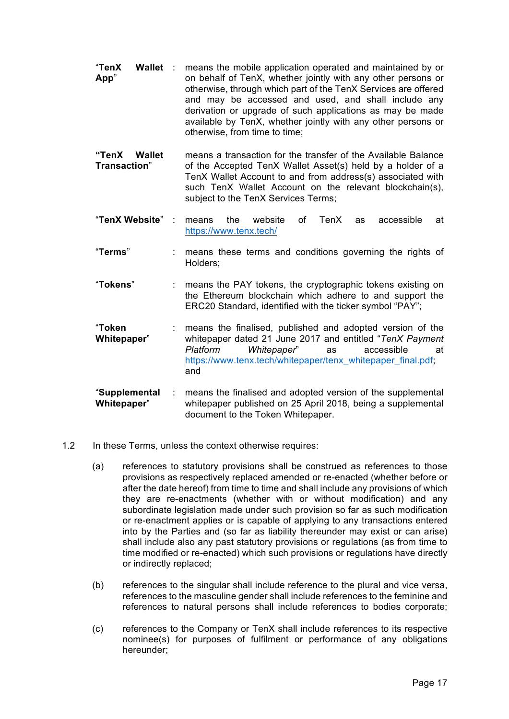- "**TenX Wallet App**" : means the mobile application operated and maintained by or on behalf of TenX, whether jointly with any other persons or otherwise, through which part of the TenX Services are offered and may be accessed and used, and shall include any derivation or upgrade of such applications as may be made available by TenX, whether jointly with any other persons or otherwise, from time to time;
- **"TenX Wallet Transaction**" means a transaction for the transfer of the Available Balance of the Accepted TenX Wallet Asset(s) held by a holder of a TenX Wallet Account to and from address(s) associated with such TenX Wallet Account on the relevant blockchain(s), subject to the TenX Services Terms;
- "**TenX Website**" : means the website of TenX as accessible at https://www.tenx.tech/
- "**Terms**" : means these terms and conditions governing the rights of Holders;
- "**Tokens**" : means the PAY tokens, the cryptographic tokens existing on the Ethereum blockchain which adhere to and support the ERC20 Standard, identified with the ticker symbol "PAY";
- "**Token Whitepaper**" : means the finalised, published and adopted version of the whitepaper dated 21 June 2017 and entitled "*TenX Payment Platform Whitepaper*" as accessible at https://www.tenx.tech/whitepaper/tenx\_whitepaper\_final.pdf; and
- "**Supplemental Whitepaper**" : means the finalised and adopted version of the supplemental whitepaper published on 25 April 2018, being a supplemental document to the Token Whitepaper.
- 1.2 In these Terms, unless the context otherwise requires:
	- (a) references to statutory provisions shall be construed as references to those provisions as respectively replaced amended or re-enacted (whether before or after the date hereof) from time to time and shall include any provisions of which they are re-enactments (whether with or without modification) and any subordinate legislation made under such provision so far as such modification or re-enactment applies or is capable of applying to any transactions entered into by the Parties and (so far as liability thereunder may exist or can arise) shall include also any past statutory provisions or regulations (as from time to time modified or re-enacted) which such provisions or regulations have directly or indirectly replaced;
	- (b) references to the singular shall include reference to the plural and vice versa, references to the masculine gender shall include references to the feminine and references to natural persons shall include references to bodies corporate;
	- (c) references to the Company or TenX shall include references to its respective nominee(s) for purposes of fulfilment or performance of any obligations hereunder;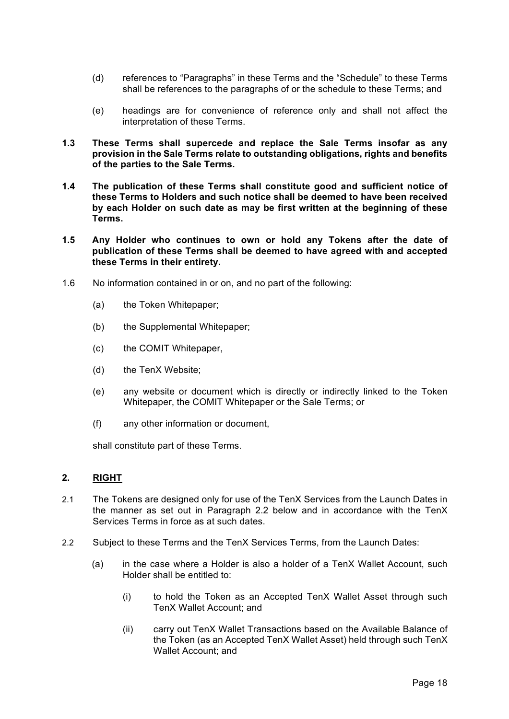- (d) references to "Paragraphs" in these Terms and the "Schedule" to these Terms shall be references to the paragraphs of or the schedule to these Terms; and
- (e) headings are for convenience of reference only and shall not affect the interpretation of these Terms.
- **1.3 These Terms shall supercede and replace the Sale Terms insofar as any provision in the Sale Terms relate to outstanding obligations, rights and benefits of the parties to the Sale Terms.**
- **1.4 The publication of these Terms shall constitute good and sufficient notice of these Terms to Holders and such notice shall be deemed to have been received by each Holder on such date as may be first written at the beginning of these Terms.**
- **1.5 Any Holder who continues to own or hold any Tokens after the date of publication of these Terms shall be deemed to have agreed with and accepted these Terms in their entirety.**
- 1.6 No information contained in or on, and no part of the following:
	- (a) the Token Whitepaper;
	- (b) the Supplemental Whitepaper;
	- (c) the COMIT Whitepaper,
	- (d) the TenX Website;
	- (e) any website or document which is directly or indirectly linked to the Token Whitepaper, the COMIT Whitepaper or the Sale Terms; or
	- (f) any other information or document,

shall constitute part of these Terms.

## **2. RIGHT**

- 2.1 The Tokens are designed only for use of the TenX Services from the Launch Dates in the manner as set out in Paragraph 2.2 below and in accordance with the TenX Services Terms in force as at such dates.
- 2.2 Subject to these Terms and the TenX Services Terms, from the Launch Dates:
	- (a) in the case where a Holder is also a holder of a TenX Wallet Account, such Holder shall be entitled to:
		- (i) to hold the Token as an Accepted TenX Wallet Asset through such TenX Wallet Account; and
		- (ii) carry out TenX Wallet Transactions based on the Available Balance of the Token (as an Accepted TenX Wallet Asset) held through such TenX Wallet Account; and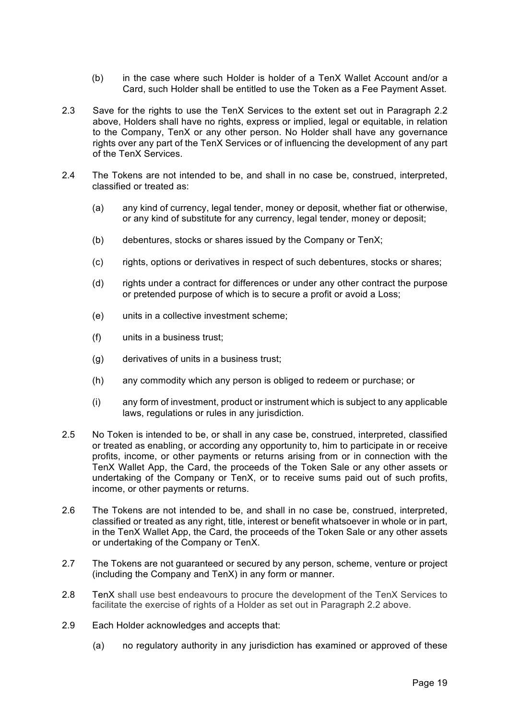- (b) in the case where such Holder is holder of a TenX Wallet Account and/or a Card, such Holder shall be entitled to use the Token as a Fee Payment Asset.
- 2.3 Save for the rights to use the TenX Services to the extent set out in Paragraph 2.2 above, Holders shall have no rights, express or implied, legal or equitable, in relation to the Company, TenX or any other person. No Holder shall have any governance rights over any part of the TenX Services or of influencing the development of any part of the TenX Services.
- 2.4 The Tokens are not intended to be, and shall in no case be, construed, interpreted, classified or treated as:
	- (a) any kind of currency, legal tender, money or deposit, whether fiat or otherwise, or any kind of substitute for any currency, legal tender, money or deposit;
	- (b) debentures, stocks or shares issued by the Company or TenX;
	- (c) rights, options or derivatives in respect of such debentures, stocks or shares;
	- (d) rights under a contract for differences or under any other contract the purpose or pretended purpose of which is to secure a profit or avoid a Loss;
	- (e) units in a collective investment scheme;
	- (f) units in a business trust;
	- (g) derivatives of units in a business trust;
	- (h) any commodity which any person is obliged to redeem or purchase; or
	- (i) any form of investment, product or instrument which is subject to any applicable laws, regulations or rules in any jurisdiction.
- 2.5 No Token is intended to be, or shall in any case be, construed, interpreted, classified or treated as enabling, or according any opportunity to, him to participate in or receive profits, income, or other payments or returns arising from or in connection with the TenX Wallet App, the Card, the proceeds of the Token Sale or any other assets or undertaking of the Company or TenX, or to receive sums paid out of such profits, income, or other payments or returns.
- 2.6 The Tokens are not intended to be, and shall in no case be, construed, interpreted, classified or treated as any right, title, interest or benefit whatsoever in whole or in part, in the TenX Wallet App, the Card, the proceeds of the Token Sale or any other assets or undertaking of the Company or TenX.
- 2.7 The Tokens are not guaranteed or secured by any person, scheme, venture or project (including the Company and TenX) in any form or manner.
- 2.8 TenX shall use best endeavours to procure the development of the TenX Services to facilitate the exercise of rights of a Holder as set out in Paragraph 2.2 above.
- 2.9 Each Holder acknowledges and accepts that:
	- (a) no regulatory authority in any jurisdiction has examined or approved of these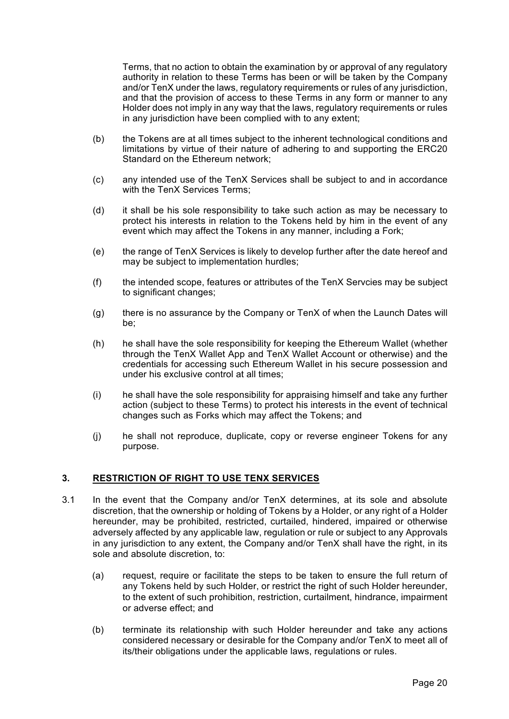Terms, that no action to obtain the examination by or approval of any regulatory authority in relation to these Terms has been or will be taken by the Company and/or TenX under the laws, regulatory requirements or rules of any jurisdiction, and that the provision of access to these Terms in any form or manner to any Holder does not imply in any way that the laws, regulatory requirements or rules in any jurisdiction have been complied with to any extent;

- (b) the Tokens are at all times subject to the inherent technological conditions and limitations by virtue of their nature of adhering to and supporting the ERC20 Standard on the Ethereum network;
- (c) any intended use of the TenX Services shall be subject to and in accordance with the TenX Services Terms;
- (d) it shall be his sole responsibility to take such action as may be necessary to protect his interests in relation to the Tokens held by him in the event of any event which may affect the Tokens in any manner, including a Fork;
- (e) the range of TenX Services is likely to develop further after the date hereof and may be subject to implementation hurdles;
- (f) the intended scope, features or attributes of the TenX Servcies may be subject to significant changes;
- (g) there is no assurance by the Company or TenX of when the Launch Dates will be;
- (h) he shall have the sole responsibility for keeping the Ethereum Wallet (whether through the TenX Wallet App and TenX Wallet Account or otherwise) and the credentials for accessing such Ethereum Wallet in his secure possession and under his exclusive control at all times;
- (i) he shall have the sole responsibility for appraising himself and take any further action (subject to these Terms) to protect his interests in the event of technical changes such as Forks which may affect the Tokens; and
- (j) he shall not reproduce, duplicate, copy or reverse engineer Tokens for any purpose.

#### **3. RESTRICTION OF RIGHT TO USE TENX SERVICES**

- 3.1 In the event that the Company and/or TenX determines, at its sole and absolute discretion, that the ownership or holding of Tokens by a Holder, or any right of a Holder hereunder, may be prohibited, restricted, curtailed, hindered, impaired or otherwise adversely affected by any applicable law, regulation or rule or subject to any Approvals in any jurisdiction to any extent, the Company and/or TenX shall have the right, in its sole and absolute discretion, to:
	- (a) request, require or facilitate the steps to be taken to ensure the full return of any Tokens held by such Holder, or restrict the right of such Holder hereunder, to the extent of such prohibition, restriction, curtailment, hindrance, impairment or adverse effect; and
	- (b) terminate its relationship with such Holder hereunder and take any actions considered necessary or desirable for the Company and/or TenX to meet all of its/their obligations under the applicable laws, regulations or rules.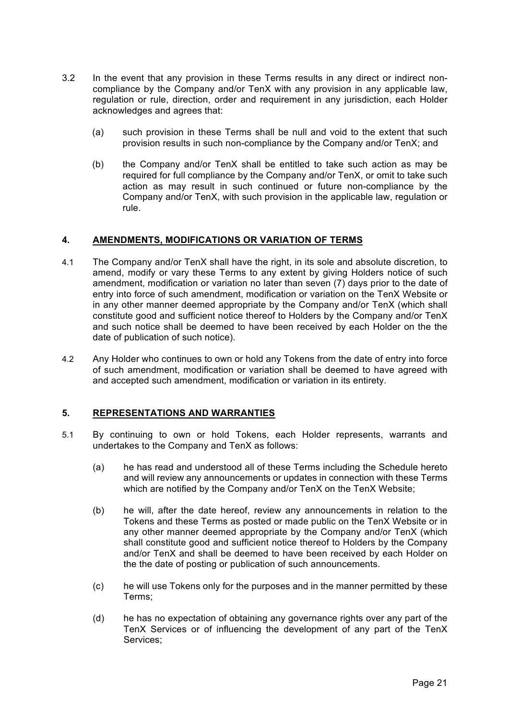- 3.2 In the event that any provision in these Terms results in any direct or indirect noncompliance by the Company and/or TenX with any provision in any applicable law, regulation or rule, direction, order and requirement in any jurisdiction, each Holder acknowledges and agrees that:
	- (a) such provision in these Terms shall be null and void to the extent that such provision results in such non-compliance by the Company and/or TenX; and
	- (b) the Company and/or TenX shall be entitled to take such action as may be required for full compliance by the Company and/or TenX, or omit to take such action as may result in such continued or future non-compliance by the Company and/or TenX, with such provision in the applicable law, regulation or rule.

#### **4. AMENDMENTS, MODIFICATIONS OR VARIATION OF TERMS**

- 4.1 The Company and/or TenX shall have the right, in its sole and absolute discretion, to amend, modify or vary these Terms to any extent by giving Holders notice of such amendment, modification or variation no later than seven (7) days prior to the date of entry into force of such amendment, modification or variation on the TenX Website or in any other manner deemed appropriate by the Company and/or TenX (which shall constitute good and sufficient notice thereof to Holders by the Company and/or TenX and such notice shall be deemed to have been received by each Holder on the the date of publication of such notice).
- 4.2 Any Holder who continues to own or hold any Tokens from the date of entry into force of such amendment, modification or variation shall be deemed to have agreed with and accepted such amendment, modification or variation in its entirety.

## **5. REPRESENTATIONS AND WARRANTIES**

- 5.1 By continuing to own or hold Tokens, each Holder represents, warrants and undertakes to the Company and TenX as follows:
	- (a) he has read and understood all of these Terms including the Schedule hereto and will review any announcements or updates in connection with these Terms which are notified by the Company and/or TenX on the TenX Website;
	- (b) he will, after the date hereof, review any announcements in relation to the Tokens and these Terms as posted or made public on the TenX Website or in any other manner deemed appropriate by the Company and/or TenX (which shall constitute good and sufficient notice thereof to Holders by the Company and/or TenX and shall be deemed to have been received by each Holder on the the date of posting or publication of such announcements.
	- (c) he will use Tokens only for the purposes and in the manner permitted by these Terms;
	- (d) he has no expectation of obtaining any governance rights over any part of the TenX Services or of influencing the development of any part of the TenX Services;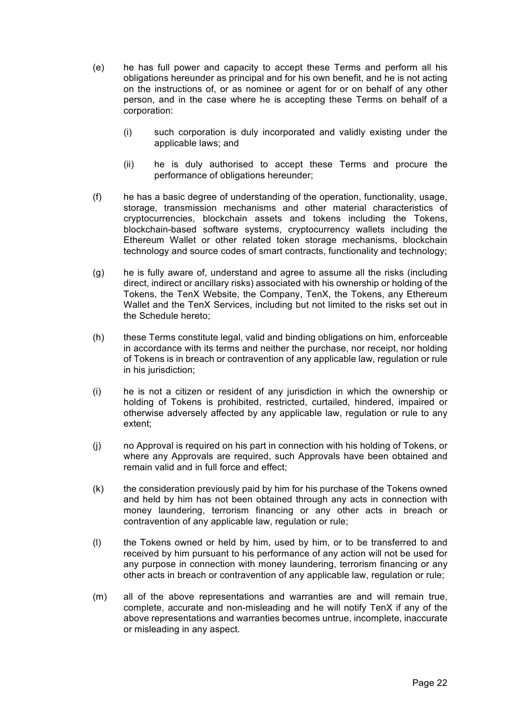- (e) he has full power and capacity to accept these Terms and perform all his obligations hereunder as principal and for his own benefit, and he is not acting on the instructions of, or as nominee or agent for or on behalf of any other person, and in the case where he is accepting these Terms on behalf of a corporation:
	- (i) such corporation is duly incorporated and validly existing under the applicable laws; and
	- (ii) he is duly authorised to accept these Terms and procure the performance of obligations hereunder;
- (f) he has a basic degree of understanding of the operation, functionality, usage, storage, transmission mechanisms and other material characteristics of cryptocurrencies, blockchain assets and tokens including the Tokens, blockchain-based software systems, cryptocurrency wallets including the Ethereum Wallet or other related token storage mechanisms, blockchain technology and source codes of smart contracts, functionality and technology;
- (g) he is fully aware of, understand and agree to assume all the risks (including direct, indirect or ancillary risks) associated with his ownership or holding of the Tokens, the TenX Website, the Company, TenX, the Tokens, any Ethereum Wallet and the TenX Services, including but not limited to the risks set out in the Schedule hereto;
- (h) these Terms constitute legal, valid and binding obligations on him, enforceable in accordance with its terms and neither the purchase, nor receipt, nor holding of Tokens is in breach or contravention of any applicable law, regulation or rule in his jurisdiction:
- (i) he is not a citizen or resident of any jurisdiction in which the ownership or holding of Tokens is prohibited, restricted, curtailed, hindered, impaired or otherwise adversely affected by any applicable law, regulation or rule to any extent;
- (j) no Approval is required on his part in connection with his holding of Tokens, or where any Approvals are required, such Approvals have been obtained and remain valid and in full force and effect;
- (k) the consideration previously paid by him for his purchase of the Tokens owned and held by him has not been obtained through any acts in connection with money laundering, terrorism financing or any other acts in breach or contravention of any applicable law, regulation or rule;
- (l) the Tokens owned or held by him, used by him, or to be transferred to and received by him pursuant to his performance of any action will not be used for any purpose in connection with money laundering, terrorism financing or any other acts in breach or contravention of any applicable law, regulation or rule;
- (m) all of the above representations and warranties are and will remain true, complete, accurate and non-misleading and he will notify TenX if any of the above representations and warranties becomes untrue, incomplete, inaccurate or misleading in any aspect.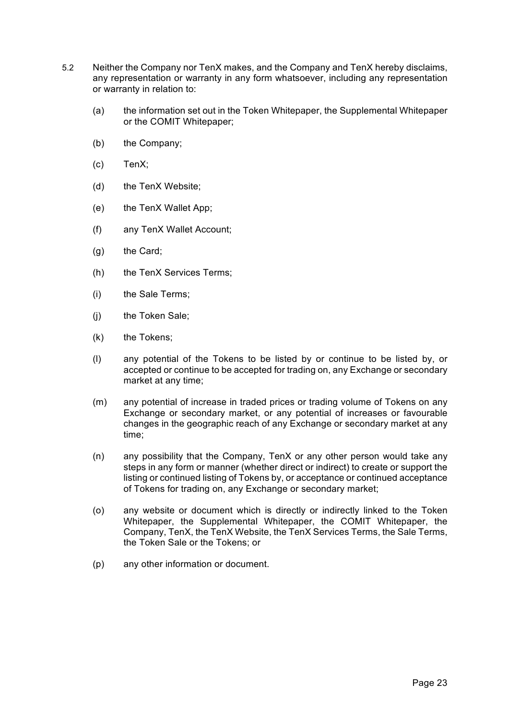- 5.2 Neither the Company nor TenX makes, and the Company and TenX hereby disclaims, any representation or warranty in any form whatsoever, including any representation or warranty in relation to:
	- (a) the information set out in the Token Whitepaper, the Supplemental Whitepaper or the COMIT Whitepaper;
	- (b) the Company;
	- (c) TenX;
	- (d) the TenX Website;
	- (e) the TenX Wallet App;
	- (f) any TenX Wallet Account;
	- (g) the Card;
	- (h) the TenX Services Terms;
	- (i) the Sale Terms;
	- (j) the Token Sale;
	- (k) the Tokens;
	- (l) any potential of the Tokens to be listed by or continue to be listed by, or accepted or continue to be accepted for trading on, any Exchange or secondary market at any time;
	- (m) any potential of increase in traded prices or trading volume of Tokens on any Exchange or secondary market, or any potential of increases or favourable changes in the geographic reach of any Exchange or secondary market at any time;
	- (n) any possibility that the Company, TenX or any other person would take any steps in any form or manner (whether direct or indirect) to create or support the listing or continued listing of Tokens by, or acceptance or continued acceptance of Tokens for trading on, any Exchange or secondary market;
	- (o) any website or document which is directly or indirectly linked to the Token Whitepaper, the Supplemental Whitepaper, the COMIT Whitepaper, the Company, TenX, the TenX Website, the TenX Services Terms, the Sale Terms, the Token Sale or the Tokens; or
	- (p) any other information or document.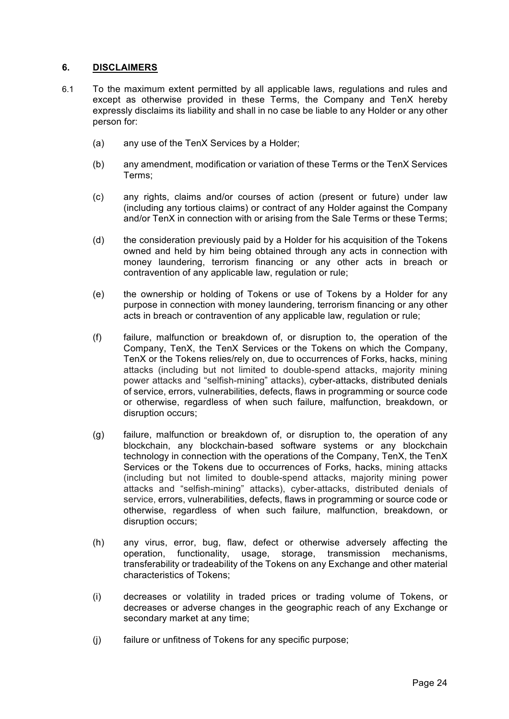## **6. DISCLAIMERS**

- 6.1 To the maximum extent permitted by all applicable laws, regulations and rules and except as otherwise provided in these Terms, the Company and TenX hereby expressly disclaims its liability and shall in no case be liable to any Holder or any other person for:
	- (a) any use of the TenX Services by a Holder;
	- (b) any amendment, modification or variation of these Terms or the TenX Services Terms;
	- (c) any rights, claims and/or courses of action (present or future) under law (including any tortious claims) or contract of any Holder against the Company and/or TenX in connection with or arising from the Sale Terms or these Terms;
	- (d) the consideration previously paid by a Holder for his acquisition of the Tokens owned and held by him being obtained through any acts in connection with money laundering, terrorism financing or any other acts in breach or contravention of any applicable law, regulation or rule;
	- (e) the ownership or holding of Tokens or use of Tokens by a Holder for any purpose in connection with money laundering, terrorism financing or any other acts in breach or contravention of any applicable law, regulation or rule;
	- (f) failure, malfunction or breakdown of, or disruption to, the operation of the Company, TenX, the TenX Services or the Tokens on which the Company, TenX or the Tokens relies/rely on, due to occurrences of Forks, hacks, mining attacks (including but not limited to double-spend attacks, majority mining power attacks and "selfish-mining" attacks), cyber-attacks, distributed denials of service, errors, vulnerabilities, defects, flaws in programming or source code or otherwise, regardless of when such failure, malfunction, breakdown, or disruption occurs;
	- (g) failure, malfunction or breakdown of, or disruption to, the operation of any blockchain, any blockchain-based software systems or any blockchain technology in connection with the operations of the Company, TenX, the TenX Services or the Tokens due to occurrences of Forks, hacks, mining attacks (including but not limited to double-spend attacks, majority mining power attacks and "selfish-mining" attacks), cyber-attacks, distributed denials of service, errors, vulnerabilities, defects, flaws in programming or source code or otherwise, regardless of when such failure, malfunction, breakdown, or disruption occurs;
	- (h) any virus, error, bug, flaw, defect or otherwise adversely affecting the operation, functionality, usage, storage, transmission mechanisms, transferability or tradeability of the Tokens on any Exchange and other material characteristics of Tokens;
	- (i) decreases or volatility in traded prices or trading volume of Tokens, or decreases or adverse changes in the geographic reach of any Exchange or secondary market at any time;
	- (j) failure or unfitness of Tokens for any specific purpose;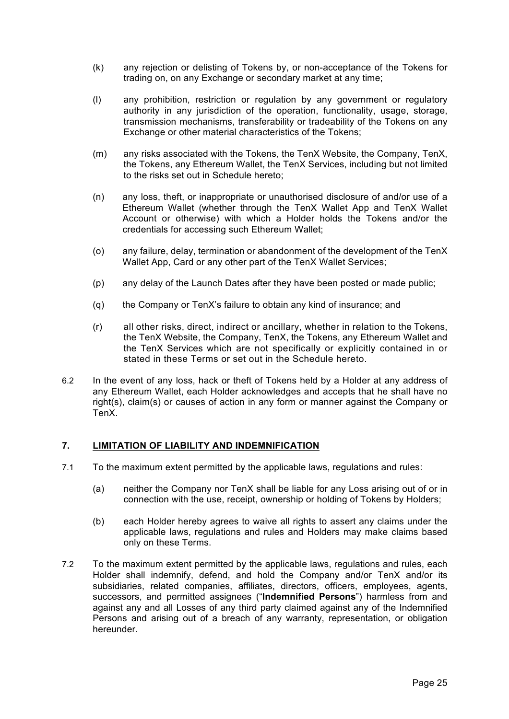- (k) any rejection or delisting of Tokens by, or non-acceptance of the Tokens for trading on, on any Exchange or secondary market at any time;
- (l) any prohibition, restriction or regulation by any government or regulatory authority in any jurisdiction of the operation, functionality, usage, storage, transmission mechanisms, transferability or tradeability of the Tokens on any Exchange or other material characteristics of the Tokens;
- (m) any risks associated with the Tokens, the TenX Website, the Company, TenX, the Tokens, any Ethereum Wallet, the TenX Services, including but not limited to the risks set out in Schedule hereto;
- (n) any loss, theft, or inappropriate or unauthorised disclosure of and/or use of a Ethereum Wallet (whether through the TenX Wallet App and TenX Wallet Account or otherwise) with which a Holder holds the Tokens and/or the credentials for accessing such Ethereum Wallet;
- (o) any failure, delay, termination or abandonment of the development of the TenX Wallet App, Card or any other part of the TenX Wallet Services;
- (p) any delay of the Launch Dates after they have been posted or made public;
- (q) the Company or TenX's failure to obtain any kind of insurance; and
- (r) all other risks, direct, indirect or ancillary, whether in relation to the Tokens, the TenX Website, the Company, TenX, the Tokens, any Ethereum Wallet and the TenX Services which are not specifically or explicitly contained in or stated in these Terms or set out in the Schedule hereto.
- 6.2 In the event of any loss, hack or theft of Tokens held by a Holder at any address of any Ethereum Wallet, each Holder acknowledges and accepts that he shall have no right(s), claim(s) or causes of action in any form or manner against the Company or TenX.

## **7. LIMITATION OF LIABILITY AND INDEMNIFICATION**

- 7.1 To the maximum extent permitted by the applicable laws, regulations and rules:
	- (a) neither the Company nor TenX shall be liable for any Loss arising out of or in connection with the use, receipt, ownership or holding of Tokens by Holders;
	- (b) each Holder hereby agrees to waive all rights to assert any claims under the applicable laws, regulations and rules and Holders may make claims based only on these Terms.
- 7.2 To the maximum extent permitted by the applicable laws, regulations and rules, each Holder shall indemnify, defend, and hold the Company and/or TenX and/or its subsidiaries, related companies, affiliates, directors, officers, employees, agents, successors, and permitted assignees ("**Indemnified Persons**") harmless from and against any and all Losses of any third party claimed against any of the Indemnified Persons and arising out of a breach of any warranty, representation, or obligation hereunder.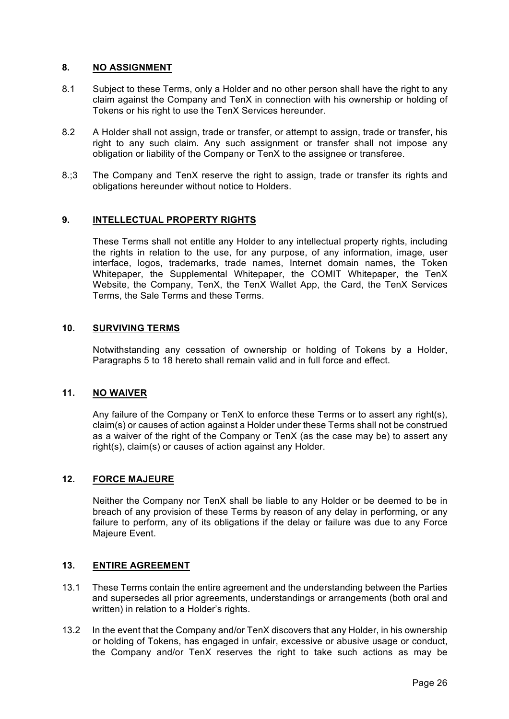## **8. NO ASSIGNMENT**

- 8.1 Subject to these Terms, only a Holder and no other person shall have the right to any claim against the Company and TenX in connection with his ownership or holding of Tokens or his right to use the TenX Services hereunder.
- 8.2 A Holder shall not assign, trade or transfer, or attempt to assign, trade or transfer, his right to any such claim. Any such assignment or transfer shall not impose any obligation or liability of the Company or TenX to the assignee or transferee.
- 8.;3 The Company and TenX reserve the right to assign, trade or transfer its rights and obligations hereunder without notice to Holders.

## **9. INTELLECTUAL PROPERTY RIGHTS**

These Terms shall not entitle any Holder to any intellectual property rights, including the rights in relation to the use, for any purpose, of any information, image, user interface, logos, trademarks, trade names, Internet domain names, the Token Whitepaper, the Supplemental Whitepaper, the COMIT Whitepaper, the TenX Website, the Company, TenX, the TenX Wallet App, the Card, the TenX Services Terms, the Sale Terms and these Terms.

## **10. SURVIVING TERMS**

Notwithstanding any cessation of ownership or holding of Tokens by a Holder, Paragraphs 5 to 18 hereto shall remain valid and in full force and effect.

## **11. NO WAIVER**

Any failure of the Company or TenX to enforce these Terms or to assert any right(s), claim(s) or causes of action against a Holder under these Terms shall not be construed as a waiver of the right of the Company or TenX (as the case may be) to assert any right(s), claim(s) or causes of action against any Holder.

## **12. FORCE MAJEURE**

Neither the Company nor TenX shall be liable to any Holder or be deemed to be in breach of any provision of these Terms by reason of any delay in performing, or any failure to perform, any of its obligations if the delay or failure was due to any Force Majeure Event.

#### **13. ENTIRE AGREEMENT**

- 13.1 These Terms contain the entire agreement and the understanding between the Parties and supersedes all prior agreements, understandings or arrangements (both oral and written) in relation to a Holder's rights.
- 13.2 In the event that the Company and/or TenX discovers that any Holder, in his ownership or holding of Tokens, has engaged in unfair, excessive or abusive usage or conduct, the Company and/or TenX reserves the right to take such actions as may be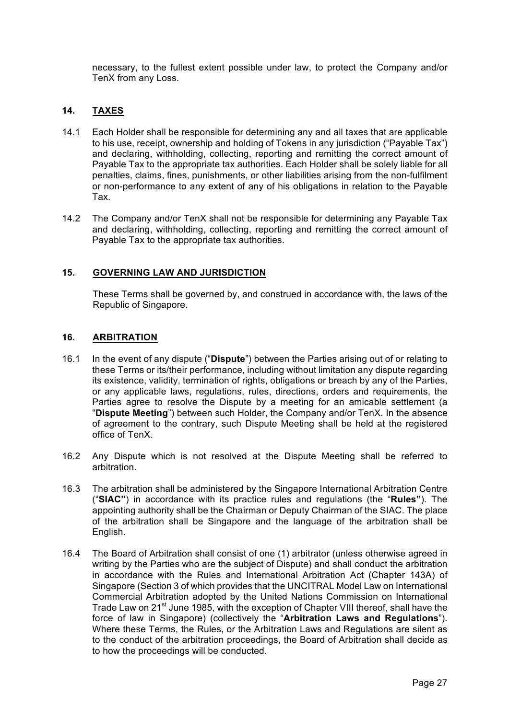necessary, to the fullest extent possible under law, to protect the Company and/or TenX from any Loss.

## **14. TAXES**

- 14.1 Each Holder shall be responsible for determining any and all taxes that are applicable to his use, receipt, ownership and holding of Tokens in any jurisdiction ("Payable Tax") and declaring, withholding, collecting, reporting and remitting the correct amount of Payable Tax to the appropriate tax authorities. Each Holder shall be solely liable for all penalties, claims, fines, punishments, or other liabilities arising from the non-fulfilment or non-performance to any extent of any of his obligations in relation to the Payable Tax.
- 14.2 The Company and/or TenX shall not be responsible for determining any Payable Tax and declaring, withholding, collecting, reporting and remitting the correct amount of Payable Tax to the appropriate tax authorities.

## **15. GOVERNING LAW AND JURISDICTION**

These Terms shall be governed by, and construed in accordance with, the laws of the Republic of Singapore.

## **16. ARBITRATION**

- 16.1 In the event of any dispute ("**Dispute**") between the Parties arising out of or relating to these Terms or its/their performance, including without limitation any dispute regarding its existence, validity, termination of rights, obligations or breach by any of the Parties, or any applicable laws, regulations, rules, directions, orders and requirements, the Parties agree to resolve the Dispute by a meeting for an amicable settlement (a "**Dispute Meeting**") between such Holder, the Company and/or TenX. In the absence of agreement to the contrary, such Dispute Meeting shall be held at the registered office of TenX.
- 16.2 Any Dispute which is not resolved at the Dispute Meeting shall be referred to arbitration.
- 16.3 The arbitration shall be administered by the Singapore International Arbitration Centre ("**SIAC"**) in accordance with its practice rules and regulations (the "**Rules"**). The appointing authority shall be the Chairman or Deputy Chairman of the SIAC. The place of the arbitration shall be Singapore and the language of the arbitration shall be English.
- 16.4 The Board of Arbitration shall consist of one (1) arbitrator (unless otherwise agreed in writing by the Parties who are the subject of Dispute) and shall conduct the arbitration in accordance with the Rules and International Arbitration Act (Chapter 143A) of Singapore (Section 3 of which provides that the UNCITRAL Model Law on International Commercial Arbitration adopted by the United Nations Commission on International Trade Law on 21<sup>st</sup> June 1985, with the exception of Chapter VIII thereof, shall have the force of law in Singapore) (collectively the "**Arbitration Laws and Regulations**"). Where these Terms, the Rules, or the Arbitration Laws and Regulations are silent as to the conduct of the arbitration proceedings, the Board of Arbitration shall decide as to how the proceedings will be conducted.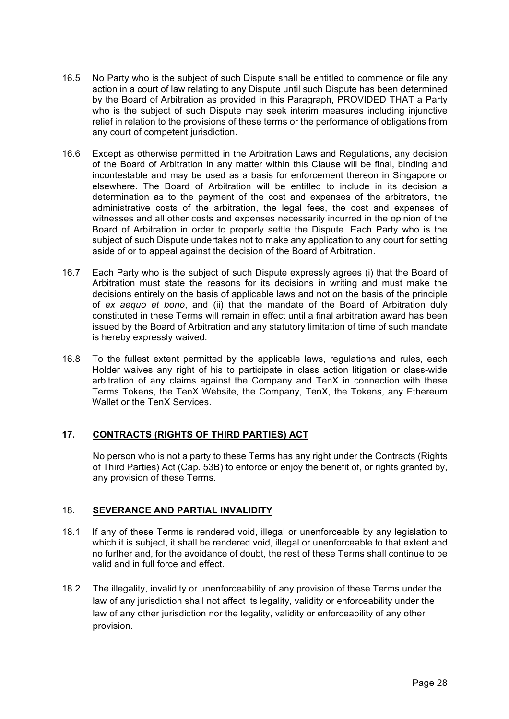- 16.5 No Party who is the subject of such Dispute shall be entitled to commence or file any action in a court of law relating to any Dispute until such Dispute has been determined by the Board of Arbitration as provided in this Paragraph, PROVIDED THAT a Party who is the subject of such Dispute may seek interim measures including injunctive relief in relation to the provisions of these terms or the performance of obligations from any court of competent jurisdiction.
- 16.6 Except as otherwise permitted in the Arbitration Laws and Regulations, any decision of the Board of Arbitration in any matter within this Clause will be final, binding and incontestable and may be used as a basis for enforcement thereon in Singapore or elsewhere. The Board of Arbitration will be entitled to include in its decision a determination as to the payment of the cost and expenses of the arbitrators, the administrative costs of the arbitration, the legal fees, the cost and expenses of witnesses and all other costs and expenses necessarily incurred in the opinion of the Board of Arbitration in order to properly settle the Dispute. Each Party who is the subject of such Dispute undertakes not to make any application to any court for setting aside of or to appeal against the decision of the Board of Arbitration.
- 16.7 Each Party who is the subject of such Dispute expressly agrees (i) that the Board of Arbitration must state the reasons for its decisions in writing and must make the decisions entirely on the basis of applicable laws and not on the basis of the principle of *ex aequo et bono*, and (ii) that the mandate of the Board of Arbitration duly constituted in these Terms will remain in effect until a final arbitration award has been issued by the Board of Arbitration and any statutory limitation of time of such mandate is hereby expressly waived.
- 16.8 To the fullest extent permitted by the applicable laws, regulations and rules, each Holder waives any right of his to participate in class action litigation or class-wide arbitration of any claims against the Company and TenX in connection with these Terms Tokens, the TenX Website, the Company, TenX, the Tokens, any Ethereum Wallet or the TenX Services.

## **17. CONTRACTS (RIGHTS OF THIRD PARTIES) ACT**

No person who is not a party to these Terms has any right under the Contracts (Rights of Third Parties) Act (Cap. 53B) to enforce or enjoy the benefit of, or rights granted by, any provision of these Terms.

# 18. **SEVERANCE AND PARTIAL INVALIDITY**

- 18.1 If any of these Terms is rendered void, illegal or unenforceable by any legislation to which it is subject, it shall be rendered void, illegal or unenforceable to that extent and no further and, for the avoidance of doubt, the rest of these Terms shall continue to be valid and in full force and effect.
- 18.2 The illegality, invalidity or unenforceability of any provision of these Terms under the law of any jurisdiction shall not affect its legality, validity or enforceability under the law of any other jurisdiction nor the legality, validity or enforceability of any other provision.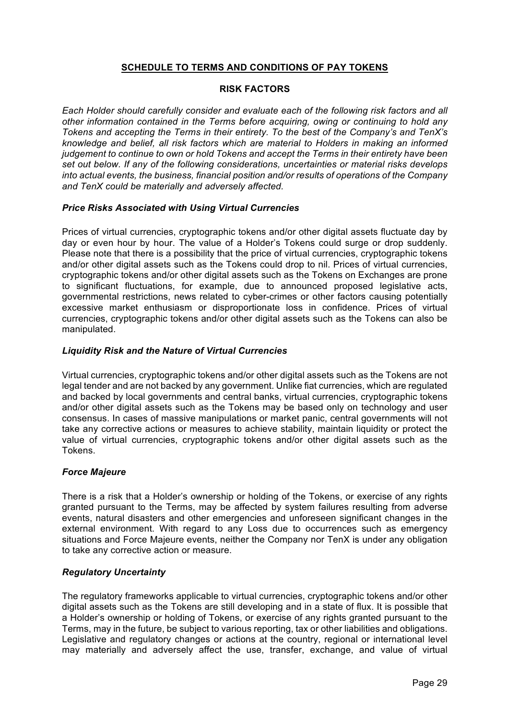## **SCHEDULE TO TERMS AND CONDITIONS OF PAY TOKENS**

#### **RISK FACTORS**

*Each Holder should carefully consider and evaluate each of the following risk factors and all other information contained in the Terms before acquiring, owing or continuing to hold any Tokens and accepting the Terms in their entirety. To the best of the Company's and TenX's knowledge and belief, all risk factors which are material to Holders in making an informed judgement to continue to own or hold Tokens and accept the Terms in their entirety have been set out below. If any of the following considerations, uncertainties or material risks develops into actual events, the business, financial position and/or results of operations of the Company and TenX could be materially and adversely affected.*

#### *Price Risks Associated with Using Virtual Currencies*

Prices of virtual currencies, cryptographic tokens and/or other digital assets fluctuate day by day or even hour by hour. The value of a Holder's Tokens could surge or drop suddenly. Please note that there is a possibility that the price of virtual currencies, cryptographic tokens and/or other digital assets such as the Tokens could drop to nil. Prices of virtual currencies, cryptographic tokens and/or other digital assets such as the Tokens on Exchanges are prone to significant fluctuations, for example, due to announced proposed legislative acts, governmental restrictions, news related to cyber-crimes or other factors causing potentially excessive market enthusiasm or disproportionate loss in confidence. Prices of virtual currencies, cryptographic tokens and/or other digital assets such as the Tokens can also be manipulated.

#### *Liquidity Risk and the Nature of Virtual Currencies*

Virtual currencies, cryptographic tokens and/or other digital assets such as the Tokens are not legal tender and are not backed by any government. Unlike fiat currencies, which are regulated and backed by local governments and central banks, virtual currencies, cryptographic tokens and/or other digital assets such as the Tokens may be based only on technology and user consensus. In cases of massive manipulations or market panic, central governments will not take any corrective actions or measures to achieve stability, maintain liquidity or protect the value of virtual currencies, cryptographic tokens and/or other digital assets such as the Tokens.

## *Force Majeure*

There is a risk that a Holder's ownership or holding of the Tokens, or exercise of any rights granted pursuant to the Terms, may be affected by system failures resulting from adverse events, natural disasters and other emergencies and unforeseen significant changes in the external environment. With regard to any Loss due to occurrences such as emergency situations and Force Majeure events, neither the Company nor TenX is under any obligation to take any corrective action or measure.

#### *Regulatory Uncertainty*

The regulatory frameworks applicable to virtual currencies, cryptographic tokens and/or other digital assets such as the Tokens are still developing and in a state of flux. It is possible that a Holder's ownership or holding of Tokens, or exercise of any rights granted pursuant to the Terms, may in the future, be subject to various reporting, tax or other liabilities and obligations. Legislative and regulatory changes or actions at the country, regional or international level may materially and adversely affect the use, transfer, exchange, and value of virtual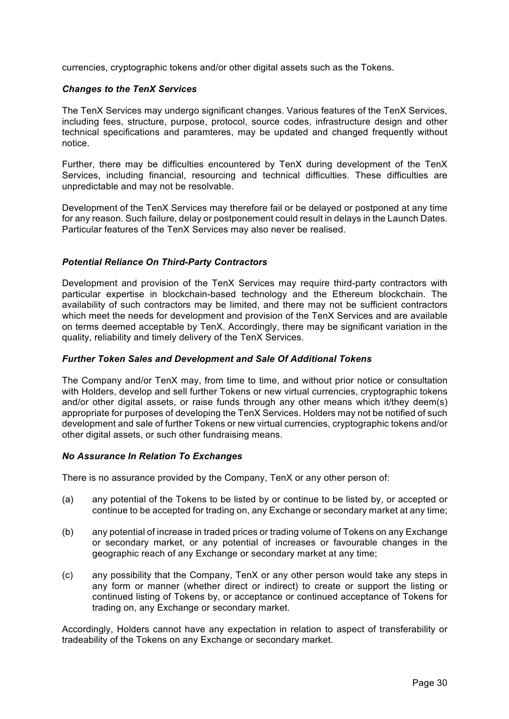currencies, cryptographic tokens and/or other digital assets such as the Tokens.

#### *Changes to the TenX Services*

The TenX Services may undergo significant changes. Various features of the TenX Services, including fees, structure, purpose, protocol, source codes, infrastructure design and other technical specifications and paramteres, may be updated and changed frequently without notice.

Further, there may be difficulties encountered by TenX during development of the TenX Services, including financial, resourcing and technical difficulties. These difficulties are unpredictable and may not be resolvable.

Development of the TenX Services may therefore fail or be delayed or postponed at any time for any reason. Such failure, delay or postponement could result in delays in the Launch Dates. Particular features of the TenX Services may also never be realised.

#### *Potential Reliance On Third-Party Contractors*

Development and provision of the TenX Services may require third-party contractors with particular expertise in blockchain-based technology and the Ethereum blockchain. The availability of such contractors may be limited, and there may not be sufficient contractors which meet the needs for development and provision of the TenX Services and are available on terms deemed acceptable by TenX. Accordingly, there may be significant variation in the quality, reliability and timely delivery of the TenX Services.

#### *Further Token Sales and Development and Sale Of Additional Tokens*

The Company and/or TenX may, from time to time, and without prior notice or consultation with Holders, develop and sell further Tokens or new virtual currencies, cryptographic tokens and/or other digital assets, or raise funds through any other means which it/they deem(s) appropriate for purposes of developing the TenX Services. Holders may not be notified of such development and sale of further Tokens or new virtual currencies, cryptographic tokens and/or other digital assets, or such other fundraising means.

#### *No Assurance In Relation To Exchanges*

There is no assurance provided by the Company, TenX or any other person of:

- (a) any potential of the Tokens to be listed by or continue to be listed by, or accepted or continue to be accepted for trading on, any Exchange or secondary market at any time;
- (b) any potential of increase in traded prices or trading volume of Tokens on any Exchange or secondary market, or any potential of increases or favourable changes in the geographic reach of any Exchange or secondary market at any time;
- (c) any possibility that the Company, TenX or any other person would take any steps in any form or manner (whether direct or indirect) to create or support the listing or continued listing of Tokens by, or acceptance or continued acceptance of Tokens for trading on, any Exchange or secondary market.

Accordingly, Holders cannot have any expectation in relation to aspect of transferability or tradeability of the Tokens on any Exchange or secondary market.